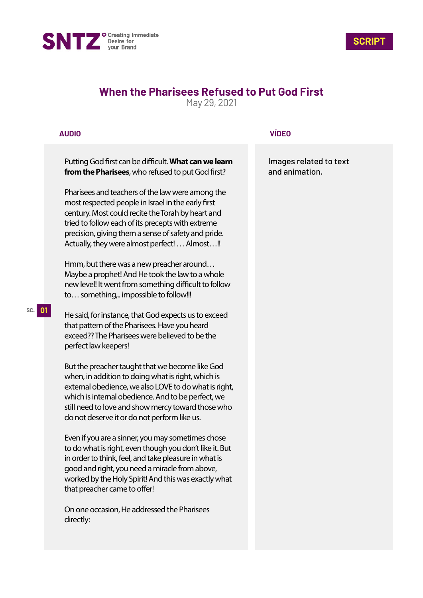



# **When the Pharisees Refused to Put God First**

May 29, 2021

## **AUDIO**

Putting God first can be difficult. What can we learn from the Pharisees, who refused to put God first?

Pharisees and teachers of the law were among the most respected people in Israel in the early first century. Most could recite the Torah by heart and tried to follow each of its precepts with extreme precision, giving them a sense of safety and pride. Actually, they were almost perfect! … Almost…!!

Hmm, but there was a new preacher around… Maybe a prophet! And He took the law to a whole new level! It went from something difficult to follow to... something,.. impossible to follow!!!

He said, for instance, that God expects us to exceed that pattern of the Pharisees. Have you heard exceed?? The Pharisees were believed to be the perfect law keepers!

But the preacher taught that we become like God when, in addition to doing what is right, which is external obedience, we also LOVE to do what is right, which is internal obedience. And to be perfect, we still need to love and show mercy toward those who do not deserve it or do not perform like us.

Even if you are a sinner, you may sometimes chose to do what is right, even though you don't like it. But in order to think, feel, and take pleasure in what is good and right, you need a miracle from above, worked by the Holy Spirit! And this was exactly what that preacher came to offer!

On one occasion, He addressed the Pharisees directly:

### **VÍDEO**

Images related to text and animation.